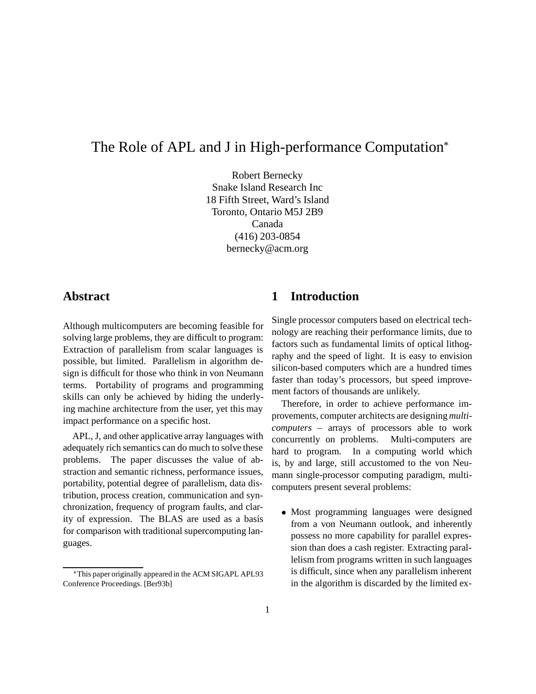# The Role of APL and J in High-performance Computation

Robert Bernecky Snake Island Research Inc 18 Fifth Street, Ward's Island Toronto, Ontario M5J 2B9 Canada (416) 203-0854 bernecky@acm.org

### **Abstract**

Although multicomputers are becoming feasible for solving large problems, they are difficult to program: Extraction of parallelism from scalar languages is possible, but limited. Parallelism in algorithm design is difficult for those who think in von Neumann terms. Portability of programs and programming skills can only be achieved by hiding the underlying machine architecture from the user, yet this may impact performance on a specific host.

APL, J, and other applicative array languages with adequately rich semantics can do much to solve these problems. The paper discusses the value of abstraction and semantic richness, performance issues, portability, potential degree of parallelism, data distribution, process creation, communication and synchronization, frequency of program faults, and clarity of expression. The BLAS are used as a basis for comparison with traditional supercomputing languages.

## **1 Introduction**

Single processor computers based on electrical technology are reaching their performance limits, due to factors such as fundamental limits of optical lithography and the speed of light. It is easy to envision silicon-based computers which are a hundred times faster than today's processors, but speed improvement factors of thousands are unlikely.

Therefore, in order to achieve performance improvements, computer architects are designing*multicomputers* – arrays of processors able to work concurrently on problems. Multi-computers are hard to program. In a computing world which is, by and large, still accustomed to the von Neumann single-processor computing paradigm, multicomputers present several problems:

• Most programming languages were designed from a von Neumann outlook, and inherently possess no more capability for parallel expression than does a cash register. Extracting parallelism from programs written in such languages is difficult, since when any parallelism inherent in the algorithm is discarded by the limited ex-

This paper originally appeared in the ACM SIGAPL APL93 Conference Proceedings. [Ber93b]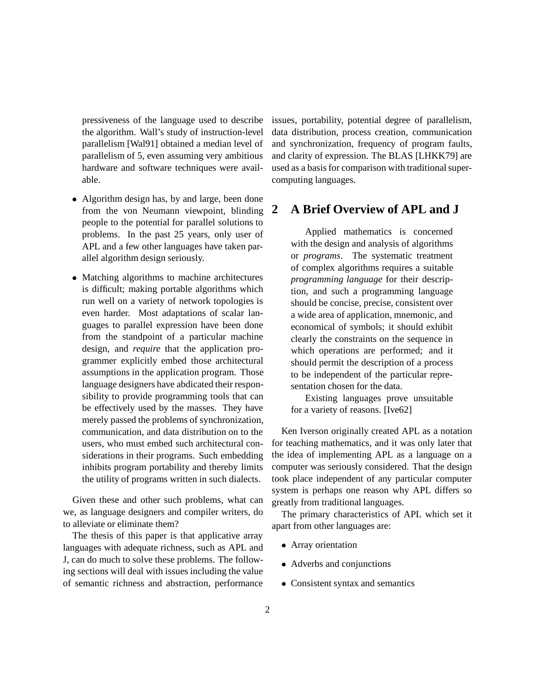pressiveness of the language used to describe the algorithm. Wall's study of instruction-level parallelism [Wal91] obtained a median level of parallelism of 5, even assuming very ambitious hardware and software techniques were available.

- Algorithm design has, by and large, been done from the von Neumann viewpoint, blinding people to the potential for parallel solutions to problems. In the past 25 years, only user of APL and a few other languages have taken parallel algorithm design seriously.
- Matching algorithms to machine architectures is difficult; making portable algorithms which run well on a variety of network topologies is even harder. Most adaptations of scalar languages to parallel expression have been done from the standpoint of a particular machine design, and *require* that the application programmer explicitly embed those architectural assumptions in the application program. Those language designers have abdicated their responsibility to provide programming tools that can be effectively used by the masses. They have merely passed the problems of synchronization, communication, and data distribution on to the users, who must embed such architectural considerations in their programs. Such embedding inhibits program portability and thereby limits the utility of programs written in such dialects.

Given these and other such problems, what can we, as language designers and compiler writers, do to alleviate or eliminate them?

The thesis of this paper is that applicative array languages with adequate richness, such as APL and J, can do much to solve these problems. The following sections will deal with issues including the value of semantic richness and abstraction, performance issues, portability, potential degree of parallelism, data distribution, process creation, communication and synchronization, frequency of program faults, and clarity of expression. The BLAS [LHKK79] are used as a basis for comparison with traditional supercomputing languages.

### **2 A Brief Overview of APL and J**

Applied mathematics is concerned with the design and analysis of algorithms or *programs*. The systematic treatment of complex algorithms requires a suitable *programming language* for their description, and such a programming language should be concise, precise, consistent over a wide area of application, mnemonic, and economical of symbols; it should exhibit clearly the constraints on the sequence in which operations are performed; and it should permit the description of a process to be independent of the particular representation chosen for the data.

Existing languages prove unsuitable for a variety of reasons. [Ive62]

Ken Iverson originally created APL as a notation for teaching mathematics, and it was only later that the idea of implementing APL as a language on a computer was seriously considered. That the design took place independent of any particular computer system is perhaps one reason why APL differs so greatly from traditional languages.

The primary characteristics of APL which set it apart from other languages are:

- Array orientation
- Adverbs and conjunctions
- Consistent syntax and semantics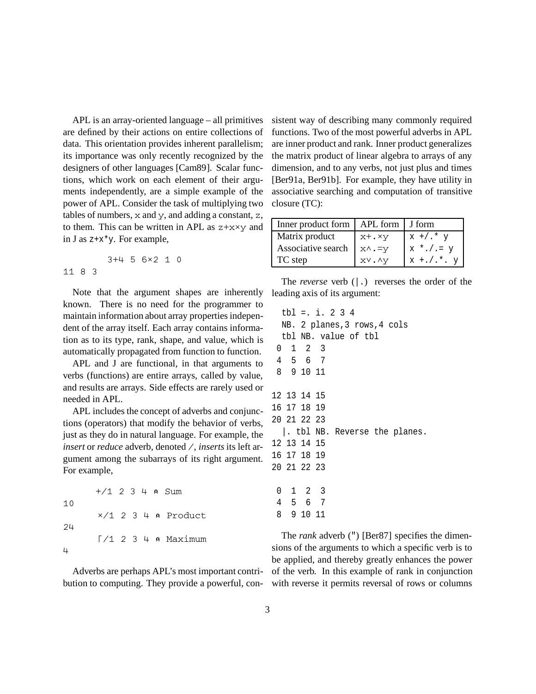APL is an array-oriented language – all primitives are defined by their actions on entire collections of data. This orientation provides inherent parallelism; its importance was only recently recognized by the designers of other languages [Cam89]. Scalar functions, which work on each element of their arguments independently, are a simple example of the power of APL. Consider the task of multiplying two tables of numbers,  $x$  and  $y$ , and adding a constant,  $z$ , to them. This can be written in APL as  $z+x\times y$  and in J as z+x\*y. For example,

3+4 5 6«2 1 0 11 8 3

Note that the argument shapes are inherently known. There is no need for the programmer to maintain information about array properties independent of the array itself. Each array contains information as to its type, rank, shape, and value, which is automatically propagated from function to function.

APL and J are functional, in that arguments to verbs (functions) are entire arrays, called by value, and results are arrays. Side effects are rarely used or needed in APL.

APL includes the concept of adverbs and conjunctions (operators) that modify the behavior of verbs, just as they do in natural language. For example, the *insert* or *reduce* adverb, denoted /, *inserts* its left argument among the subarrays of its right argument. For example,

10

«/1 2 3 4 ã Product 24  $\lceil$  /1 2 3 4  $\land$  Maximum

 $+/1$  2 3 4 a Sum

4

Adverbs are perhaps APL's most important contribution to computing. They provide a powerful, consistent way of describing many commonly required functions. Two of the most powerful adverbs in APL are inner product and rank. Inner product generalizes the matrix product of linear algebra to arrays of any dimension, and to any verbs, not just plus and times [Ber91a, Ber91b]. For example, they have utility in associative searching and computation of transitive closure (TC):

| Inner product form   APL form   J form |            |                 |
|----------------------------------------|------------|-----------------|
| Matrix product                         | $x + . xy$ | $x$ +/.* $y$    |
| Associative search                     | x∧.=v      | $x * . / . = y$ |
| TC step                                | xV. Ay     | $x + ./.*.$     |

The *reverse* verb (|.) reverses the order of the leading axis of its argument:

The *rank* adverb (") [Ber87] specifies the dimensions of the arguments to which a specific verb is to be applied, and thereby greatly enhances the power of the verb. In this example of rank in conjunction with reverse it permits reversal of rows or columns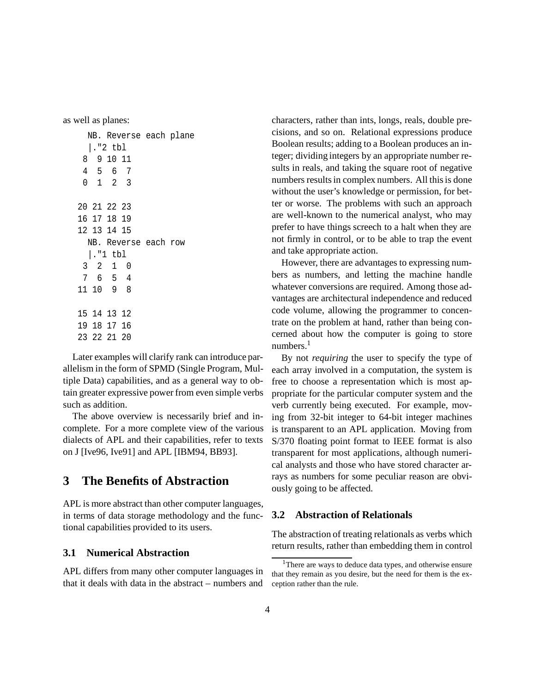as well as planes:

|                      |                 | NB. Reverse each plane |                |  |
|----------------------|-----------------|------------------------|----------------|--|
|                      | $ .$ "2 tbl     |                        |                |  |
|                      | 8 9 10 11       |                        |                |  |
|                      | 4 5 6           |                        | - 7            |  |
|                      | $0 \t1 \t2 \t3$ |                        |                |  |
|                      | 20 21 22 23     |                        |                |  |
|                      | 16 17 18 19     |                        |                |  |
|                      | 12 13 14 15     |                        |                |  |
| NB. Reverse each row |                 |                        |                |  |
| ."1 tbl              |                 |                        |                |  |
|                      | 3 2 1 0         |                        |                |  |
|                      | 7 6 5           |                        | $\overline{4}$ |  |
|                      | 11 10 9 8       |                        |                |  |
|                      | 15 14 13 12     |                        |                |  |
|                      | 19 18 17 16     |                        |                |  |
|                      |                 | 23 22 21 20            |                |  |
|                      |                 |                        |                |  |

Later examples will clarify rank can introduce parallelism in the form of SPMD (Single Program, Multiple Data) capabilities, and as a general way to obtain greater expressive power from even simple verbs such as addition.

The above overview is necessarily brief and incomplete. For a more complete view of the various dialects of APL and their capabilities, refer to texts on J [Ive96, Ive91] and APL [IBM94, BB93].

### **3 The Benefits of Abstraction**

APL is more abstract than other computer languages, in terms of data storage methodology and the functional capabilities provided to its users.

#### **3.1 Numerical Abstraction**

APL differs from many other computer languages in that it deals with data in the abstract – numbers and characters, rather than ints, longs, reals, double precisions, and so on. Relational expressions produce Boolean results; adding to a Boolean produces an integer; dividing integers by an appropriate number results in reals, and taking the square root of negative numbers results in complex numbers. All this is done without the user's knowledge or permission, for better or worse. The problems with such an approach are well-known to the numerical analyst, who may prefer to have things screech to a halt when they are not firmly in control, or to be able to trap the event and take appropriate action.

However, there are advantages to expressing numbers as numbers, and letting the machine handle whatever conversions are required. Among those advantages are architectural independence and reduced code volume, allowing the programmer to concentrate on the problem at hand, rather than being concerned about how the computer is going to store numbers. $<sup>1</sup>$ </sup>

By not *requiring* the user to specify the type of each array involved in a computation, the system is free to choose a representation which is most appropriate for the particular computer system and the verb currently being executed. For example, moving from 32-bit integer to 64-bit integer machines is transparent to an APL application. Moving from S/370 floating point format to IEEE format is also transparent for most applications, although numerical analysts and those who have stored character arrays as numbers for some peculiar reason are obviously going to be affected.

#### **3.2 Abstraction of Relationals**

The abstraction of treating relationals as verbs which return results, rather than embedding them in control

<sup>&</sup>lt;sup>1</sup>There are ways to deduce data types, and otherwise ensure that they remain as you desire, but the need for them is the exception rather than the rule.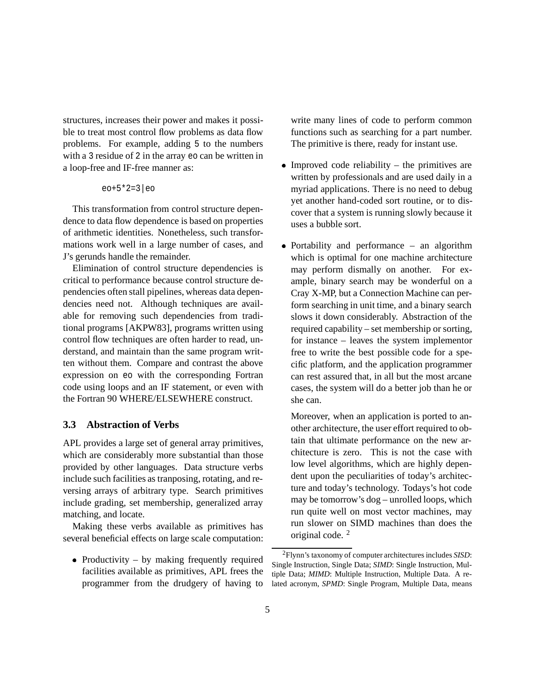structures, increases their power and makes it possible to treat most control flow problems as data flow problems. For example, adding 5 to the numbers with a 3 residue of 2 in the array eo can be written in a loop-free and IF-free manner as:

```
eo+5*2=3|eo
```
This transformation from control structure dependence to data flow dependence is based on properties of arithmetic identities. Nonetheless, such transformations work well in a large number of cases, and J's gerunds handle the remainder.

Elimination of control structure dependencies is critical to performance because control structure dependencies often stall pipelines, whereas data dependencies need not. Although techniques are available for removing such dependencies from traditional programs [AKPW83], programs written using control flow techniques are often harder to read, understand, and maintain than the same program written without them. Compare and contrast the above expression on eo with the corresponding Fortran code using loops and an IF statement, or even with the Fortran 90 WHERE/ELSEWHERE construct.

#### **3.3 Abstraction of Verbs**

APL provides a large set of general array primitives, which are considerably more substantial than those provided by other languages. Data structure verbs include such facilities as tranposing, rotating, and reversing arrays of arbitrary type. Search primitives include grading, set membership, generalized array matching, and locate.

Making these verbs available as primitives has several beneficial effects on large scale computation:

• Productivity – by making frequently required facilities available as primitives, APL frees the programmer from the drudgery of having to write many lines of code to perform common functions such as searching for a part number. The primitive is there, ready for instant use.

- $\bullet$  Improved code reliability the primitives are written by professionals and are used daily in a myriad applications. There is no need to debug yet another hand-coded sort routine, or to discover that a system is running slowly because it uses a bubble sort.
- Portability and performance an algorithm which is optimal for one machine architecture may perform dismally on another. For example, binary search may be wonderful on a Cray X-MP, but a Connection Machine can perform searching in unit time, and a binary search slows it down considerably. Abstraction of the required capability – set membership or sorting, for instance – leaves the system implementor free to write the best possible code for a specific platform, and the application programmer can rest assured that, in all but the most arcane cases, the system will do a better job than he or she can.

Moreover, when an application is ported to another architecture, the user effort required to obtain that ultimate performance on the new architecture is zero. This is not the case with low level algorithms, which are highly dependent upon the peculiarities of today's architecture and today's technology. Todays's hot code may be tomorrow's dog – unrolled loops, which run quite well on most vector machines, may run slower on SIMD machines than does the original code. <sup>2</sup>

<sup>2</sup>Flynn's taxonomy of computer architectures includes *SISD*: Single Instruction, Single Data; *SIMD*: Single Instruction, Multiple Data; *MIMD*: Multiple Instruction, Multiple Data. A related acronym, *SPMD*: Single Program, Multiple Data, means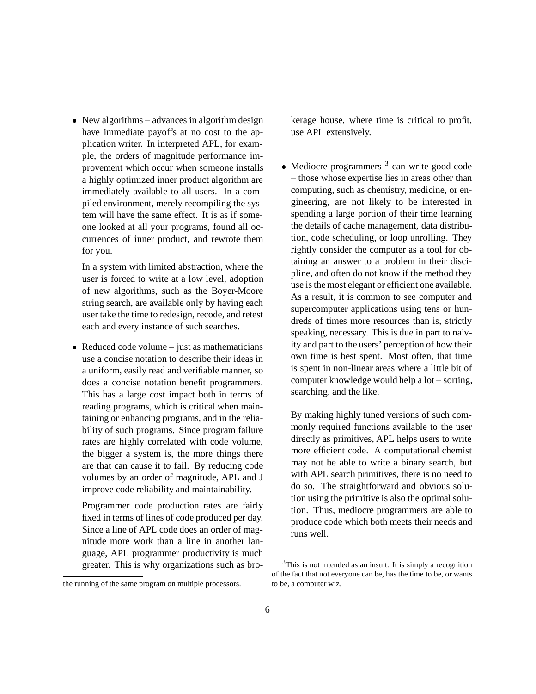New algorithms – advances in algorithm design have immediate payoffs at no cost to the application writer. In interpreted APL, for example, the orders of magnitude performance improvement which occur when someone installs a highly optimized inner product algorithm are immediately available to all users. In a compiled environment, merely recompiling the system will have the same effect. It is as if someone looked at all your programs, found all occurrences of inner product, and rewrote them for you.

In a system with limited abstraction, where the user is forced to write at a low level, adoption of new algorithms, such as the Boyer-Moore string search, are available only by having each user take the time to redesign, recode, and retest each and every instance of such searches.

 $\bullet$  Reduced code volume – just as mathematicians use a concise notation to describe their ideas in a uniform, easily read and verifiable manner, so does a concise notation benefit programmers. This has a large cost impact both in terms of reading programs, which is critical when maintaining or enhancing programs, and in the reliability of such programs. Since program failure rates are highly correlated with code volume, the bigger a system is, the more things there are that can cause it to fail. By reducing code volumes by an order of magnitude, APL and J improve code reliability and maintainability.

Programmer code production rates are fairly fixed in terms of lines of code produced per day. Since a line of APL code does an order of magnitude more work than a line in another language, APL programmer productivity is much greater. This is why organizations such as brokerage house, where time is critical to profit, use APL extensively.

 $\bullet$  Mediocre programmers  $3$  can write good code – those whose expertise lies in areas other than computing, such as chemistry, medicine, or engineering, are not likely to be interested in spending a large portion of their time learning the details of cache management, data distribution, code scheduling, or loop unrolling. They rightly consider the computer as a tool for obtaining an answer to a problem in their discipline, and often do not know if the method they use is the most elegant or efficient one available. As a result, it is common to see computer and supercomputer applications using tens or hundreds of times more resources than is, strictly speaking, necessary. This is due in part to naivity and part to the users' perception of how their own time is best spent. Most often, that time is spent in non-linear areas where a little bit of computer knowledge would help a lot – sorting, searching, and the like.

By making highly tuned versions of such commonly required functions available to the user directly as primitives, APL helps users to write more efficient code. A computational chemist may not be able to write a binary search, but with APL search primitives, there is no need to do so. The straightforward and obvious solution using the primitive is also the optimal solution. Thus, mediocre programmers are able to produce code which both meets their needs and runs well.

the running of the same program on multiple processors.

 $3$ This is not intended as an insult. It is simply a recognition of the fact that not everyone can be, has the time to be, or wants to be, a computer wiz.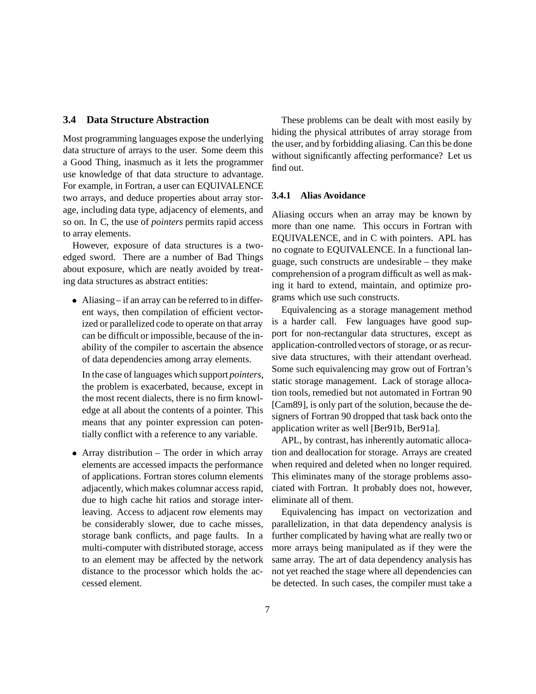#### **3.4 Data Structure Abstraction**

Most programming languages expose the underlying data structure of arrays to the user. Some deem this a Good Thing, inasmuch as it lets the programmer use knowledge of that data structure to advantage. For example, in Fortran, a user can EQUIVALENCE two arrays, and deduce properties about array storage, including data type, adjacency of elements, and so on. In C, the use of *pointers* permits rapid access to array elements.

However, exposure of data structures is a twoedged sword. There are a number of Bad Things about exposure, which are neatly avoided by treating data structures as abstract entities:

 Aliasing – if an array can be referred to in different ways, then compilation of efficient vectorized or parallelized code to operate on that array can be difficult or impossible, because of the inability of the compiler to ascertain the absence of data dependencies among array elements.

In the case of languages which support *pointers*, the problem is exacerbated, because, except in the most recent dialects, there is no firm knowledge at all about the contents of a pointer. This means that any pointer expression can potentially conflict with a reference to any variable.

 Array distribution – The order in which array elements are accessed impacts the performance of applications. Fortran stores column elements adjacently, which makes columnar access rapid, due to high cache hit ratios and storage interleaving. Access to adjacent row elements may be considerably slower, due to cache misses, storage bank conflicts, and page faults. In a multi-computer with distributed storage, access to an element may be affected by the network distance to the processor which holds the accessed element.

These problems can be dealt with most easily by hiding the physical attributes of array storage from the user, and by forbidding aliasing. Can this be done without significantly affecting performance? Let us find out.

#### **3.4.1 Alias Avoidance**

Aliasing occurs when an array may be known by more than one name. This occurs in Fortran with EQUIVALENCE, and in C with pointers. APL has no cognate to EQUIVALENCE. In a functional language, such constructs are undesirable – they make comprehension of a program difficult as well as making it hard to extend, maintain, and optimize programs which use such constructs.

Equivalencing as a storage management method is a harder call. Few languages have good support for non-rectangular data structures, except as application-controlled vectors of storage, or as recursive data structures, with their attendant overhead. Some such equivalencing may grow out of Fortran's static storage management. Lack of storage allocation tools, remedied but not automated in Fortran 90 [Cam89], is only part of the solution, because the designers of Fortran 90 dropped that task back onto the application writer as well [Ber91b, Ber91a].

APL, by contrast, has inherently automatic allocation and deallocation for storage. Arrays are created when required and deleted when no longer required. This eliminates many of the storage problems associated with Fortran. It probably does not, however, eliminate all of them.

Equivalencing has impact on vectorization and parallelization, in that data dependency analysis is further complicated by having what are really two or more arrays being manipulated as if they were the same array. The art of data dependency analysis has not yet reached the stage where all dependencies can be detected. In such cases, the compiler must take a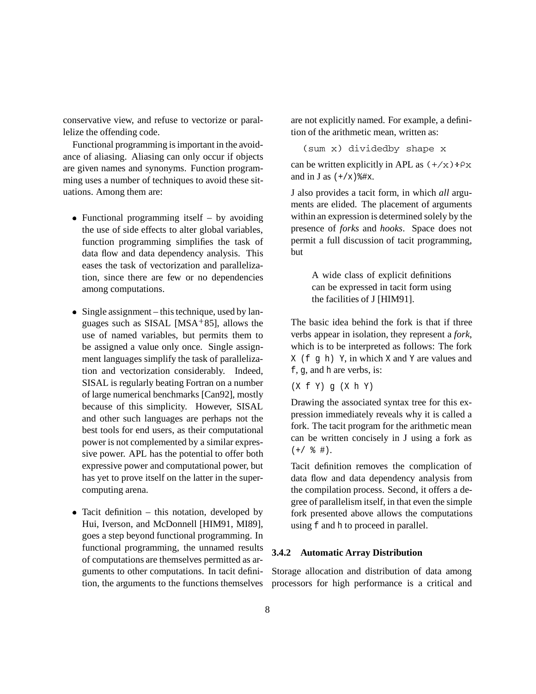conservative view, and refuse to vectorize or parallelize the offending code.

Functional programming is important in the avoidance of aliasing. Aliasing can only occur if objects are given names and synonyms. Function programming uses a number of techniques to avoid these situations. Among them are:

- Functional programming itself  $-$  by avoiding the use of side effects to alter global variables, function programming simplifies the task of data flow and data dependency analysis. This eases the task of vectorization and parallelization, since there are few or no dependencies among computations.
- Single assignment this technique, used by languages such as SISAL [MSA<sup>+</sup> 85], allows the use of named variables, but permits them to be assigned a value only once. Single assignment languages simplify the task of parallelization and vectorization considerably. Indeed, SISAL is regularly beating Fortran on a number of large numerical benchmarks [Can92], mostly because of this simplicity. However, SISAL and other such languages are perhaps not the best tools for end users, as their computational power is not complemented by a similar expressive power. APL has the potential to offer both expressive power and computational power, but has yet to prove itself on the latter in the supercomputing arena.
- Tacit definition this notation, developed by Hui, Iverson, and McDonnell [HIM91, MI89], goes a step beyond functional programming. In functional programming, the unnamed results of computations are themselves permitted as arguments to other computations. In tacit definition, the arguments to the functions themselves

are not explicitly named. For example, a definition of the arithmetic mean, written as:

(sum x) dividedby shape x

can be written explicitly in APL as  $(+/x)$  $\div$ Px and in J as  $(+/x)$   $*$ #x.

J also provides a tacit form, in which *all* arguments are elided. The placement of arguments within an expression is determined solely by the presence of *forks* and *hooks*. Space does not permit a full discussion of tacit programming, but

> A wide class of explicit definitions can be expressed in tacit form using the facilities of J [HIM91].

The basic idea behind the fork is that if three verbs appear in isolation, they represent a *fork*, which is to be interpreted as follows: The fork  $X$  (f q h) Y, in which X and Y are values and f, g, and h are verbs, is:

(X f Y) g (X h Y)

Drawing the associated syntax tree for this expression immediately reveals why it is called a fork. The tacit program for the arithmetic mean can be written concisely in J using a fork as  $(+/$  % #).

Tacit definition removes the complication of data flow and data dependency analysis from the compilation process. Second, it offers a degree of parallelism itself, in that even the simple fork presented above allows the computations using f and h to proceed in parallel.

#### **3.4.2 Automatic Array Distribution**

Storage allocation and distribution of data among processors for high performance is a critical and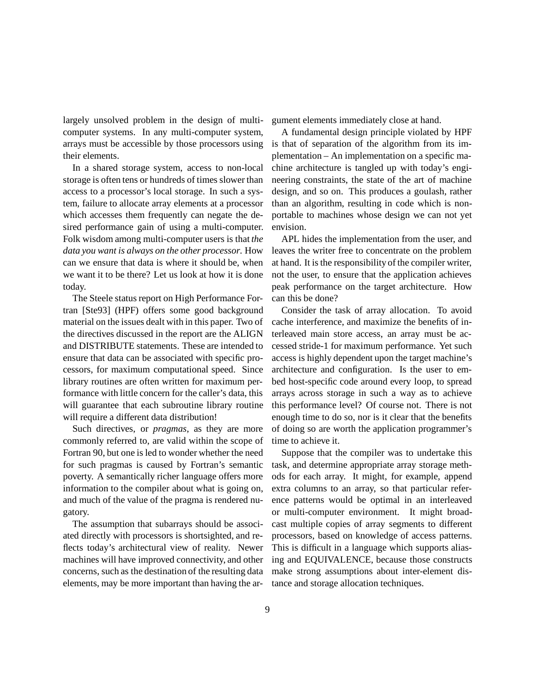largely unsolved problem in the design of multicomputer systems. In any multi-computer system, arrays must be accessible by those processors using their elements.

In a shared storage system, access to non-local storage is often tens or hundreds of times slower than access to a processor's local storage. In such a system, failure to allocate array elements at a processor which accesses them frequently can negate the desired performance gain of using a multi-computer. Folk wisdom among multi-computer users is that *the data you want is always on the other processor*. How can we ensure that data is where it should be, when we want it to be there? Let us look at how it is done today.

The Steele status report on High Performance Fortran [Ste93] (HPF) offers some good background material on the issues dealt with in this paper. Two of the directives discussed in the report are the ALIGN and DISTRIBUTE statements. These are intended to ensure that data can be associated with specific processors, for maximum computational speed. Since library routines are often written for maximum performance with little concern for the caller's data, this will guarantee that each subroutine library routine will require a different data distribution!

Such directives, or *pragmas*, as they are more commonly referred to, are valid within the scope of Fortran 90, but one is led to wonder whether the need for such pragmas is caused by Fortran's semantic poverty. A semantically richer language offers more information to the compiler about what is going on, and much of the value of the pragma is rendered nugatory.

The assumption that subarrays should be associated directly with processors is shortsighted, and reflects today's architectural view of reality. Newer machines will have improved connectivity, and other concerns, such as the destination of the resulting data elements, may be more important than having the argument elements immediately close at hand.

A fundamental design principle violated by HPF is that of separation of the algorithm from its implementation – An implementation on a specific machine architecture is tangled up with today's engineering constraints, the state of the art of machine design, and so on. This produces a goulash, rather than an algorithm, resulting in code which is nonportable to machines whose design we can not yet envision.

APL hides the implementation from the user, and leaves the writer free to concentrate on the problem at hand. It is the responsibility of the compiler writer, not the user, to ensure that the application achieves peak performance on the target architecture. How can this be done?

Consider the task of array allocation. To avoid cache interference, and maximize the benefits of interleaved main store access, an array must be accessed stride-1 for maximum performance. Yet such access is highly dependent upon the target machine's architecture and configuration. Is the user to embed host-specific code around every loop, to spread arrays across storage in such a way as to achieve this performance level? Of course not. There is not enough time to do so, nor is it clear that the benefits of doing so are worth the application programmer's time to achieve it.

Suppose that the compiler was to undertake this task, and determine appropriate array storage methods for each array. It might, for example, append extra columns to an array, so that particular reference patterns would be optimal in an interleaved or multi-computer environment. It might broadcast multiple copies of array segments to different processors, based on knowledge of access patterns. This is difficult in a language which supports aliasing and EQUIVALENCE, because those constructs make strong assumptions about inter-element distance and storage allocation techniques.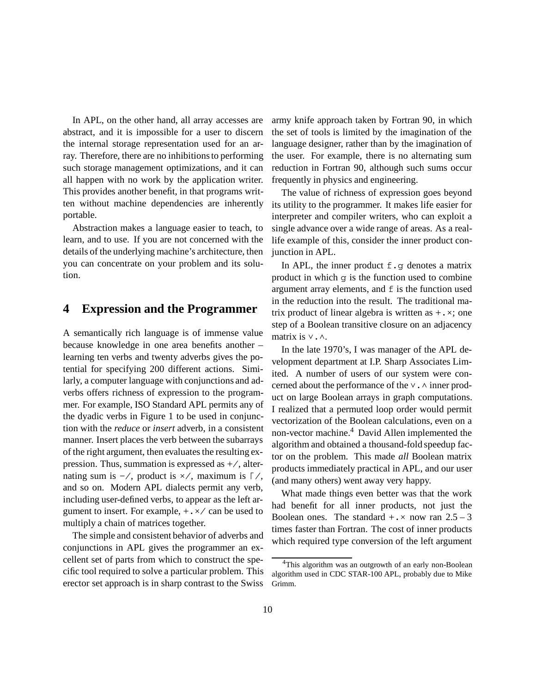In APL, on the other hand, all array accesses are abstract, and it is impossible for a user to discern the internal storage representation used for an array. Therefore, there are no inhibitions to performing such storage management optimizations, and it can all happen with no work by the application writer. This provides another benefit, in that programs written without machine dependencies are inherently portable.

Abstraction makes a language easier to teach, to learn, and to use. If you are not concerned with the details of the underlying machine's architecture, then you can concentrate on your problem and its solution.

### **4 Expression and the Programmer**

A semantically rich language is of immense value because knowledge in one area benefits another – learning ten verbs and twenty adverbs gives the potential for specifying 200 different actions. Similarly, a computer language with conjunctions and adverbs offers richness of expression to the programmer. For example, ISO Standard APL permits any of the dyadic verbs in Figure 1 to be used in conjunction with the *reduce* or *insert* adverb, in a consistent manner. Insert places the verb between the subarrays of the right argument, then evaluates the resulting expression. Thus, summation is expressed as +/, alternating sum is  $-\prime$ , product is  $\times$ /, maximum is  $\lceil \prime, \rceil$ and so on. Modern APL dialects permit any verb, including user-defined verbs, to appear as the left argument to insert. For example,  $+ \cdot \times /$  can be used to multiply a chain of matrices together.

The simple and consistent behavior of adverbs and conjunctions in APL gives the programmer an excellent set of parts from which to construct the specific tool required to solve a particular problem. This erector set approach is in sharp contrast to the Swiss

army knife approach taken by Fortran 90, in which the set of tools is limited by the imagination of the language designer, rather than by the imagination of the user. For example, there is no alternating sum reduction in Fortran 90, although such sums occur frequently in physics and engineering.

The value of richness of expression goes beyond its utility to the programmer. It makes life easier for interpreter and compiler writers, who can exploit a single advance over a wide range of areas. As a reallife example of this, consider the inner product conjunction in APL.

In APL, the inner product  $f \cdot g$  denotes a matrix product in which g is the function used to combine argument array elements, and f is the function used in the reduction into the result. The traditional matrix product of linear algebra is written as  $+ \cdot \times$ ; one step of a Boolean transitive closure on an adjacency matrix is  $\vee$ .  $\wedge$ .

In the late 1970's, I was manager of the APL development department at I.P. Sharp Associates Limited. A number of users of our system were concerned about the performance of the  $\vee$ .  $\wedge$  inner product on large Boolean arrays in graph computations. I realized that a permuted loop order would permit vectorization of the Boolean calculations, even on a non-vector machine.<sup>4</sup> David Allen implemented the algorithm and obtained a thousand-fold speedup factor on the problem. This made *all* Boolean matrix products immediately practical in APL, and our user (and many others) went away very happy.

What made things even better was that the work had benefit for all inner products, not just the Boolean ones. The standard  $+$ ,  $\times$  now ran 2.5 – 3 times faster than Fortran. The cost of inner products which required type conversion of the left argument

<sup>&</sup>lt;sup>4</sup>This algorithm was an outgrowth of an early non-Boolean algorithm used in CDC STAR-100 APL, probably due to Mike Grimm.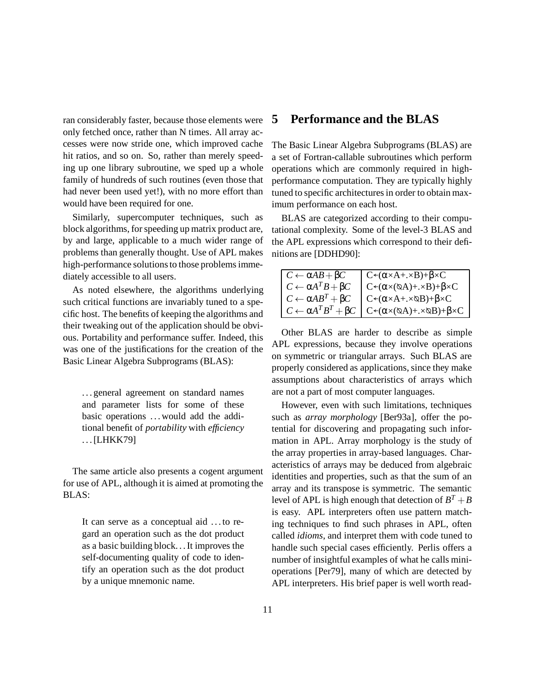ran considerably faster, because those elements were only fetched once, rather than N times. All array accesses were now stride one, which improved cache hit ratios, and so on. So, rather than merely speeding up one library subroutine, we sped up a whole family of hundreds of such routines (even those that had never been used yet!), with no more effort than would have been required for one.

Similarly, supercomputer techniques, such as block algorithms, for speeding up matrix product are, by and large, applicable to a much wider range of problems than generally thought. Use of APL makes high-performance solutions to those problems immediately accessible to all users.

As noted elsewhere, the algorithms underlying such critical functions are invariably tuned to a specific host. The benefits of keeping the algorithms and their tweaking out of the application should be obvious. Portability and performance suffer. Indeed, this was one of the justifications for the creation of the Basic Linear Algebra Subprograms (BLAS):

. . . general agreement on standard names and parameter lists for some of these basic operations ... would add the additional benefit of *portability* with *efficiency* . . . [LHKK79]

The same article also presents a cogent argument for use of APL, although it is aimed at promoting the BLAS:

It can serve as a conceptual aid . . . to regard an operation such as the dot product as a basic building block. . . It improves the self-documenting quality of code to identify an operation such as the dot product by a unique mnemonic name.

### **5 Performance and the BLAS**

The Basic Linear Algebra Subprograms (BLAS) are a set of Fortran-callable subroutines which perform operations which are commonly required in highperformance computation. They are typically highly tuned to specific architectures in order to obtain maximum performance on each host.

BLAS are categorized according to their computational complexity. Some of the level-3 BLAS and the APL expressions which correspond to their definitions are [DDHD90]:

| $C \leftarrow \alpha AB + \beta C$      | $\overline{C^{\leftarrow}(\alpha \times A + \times B) + \beta \times C}$       |
|-----------------------------------------|--------------------------------------------------------------------------------|
| $C \leftarrow \alpha A^T B + \beta C$   | $C^{\leftarrow}(\alpha \times (\otimes A) + \times B) + \beta \times C$        |
| $C \leftarrow \alpha AB^T + \beta C$    | $C^{\leftarrow}(\alpha \times A + \times \alpha B) + \beta \times C$           |
| $C \leftarrow \alpha A^T B^T + \beta C$ | $C \leftarrow (\alpha \times (\otimes A) + \times \otimes B) + \beta \times C$ |

Other BLAS are harder to describe as simple APL expressions, because they involve operations on symmetric or triangular arrays. Such BLAS are properly considered as applications, since they make assumptions about characteristics of arrays which are not a part of most computer languages.

However, even with such limitations, techniques such as *array morphology* [Ber93a], offer the potential for discovering and propagating such information in APL. Array morphology is the study of the array properties in array-based languages. Characteristics of arrays may be deduced from algebraic identities and properties, such as that the sum of an array and its transpose is symmetric. The semantic level of APL is high enough that detection of  $B^T + B$ is easy. APL interpreters often use pattern matching techniques to find such phrases in APL, often called *idioms*, and interpret them with code tuned to handle such special cases efficiently. Perlis offers a number of insightful examples of what he calls minioperations [Per79], many of which are detected by APL interpreters. His brief paper is well worth read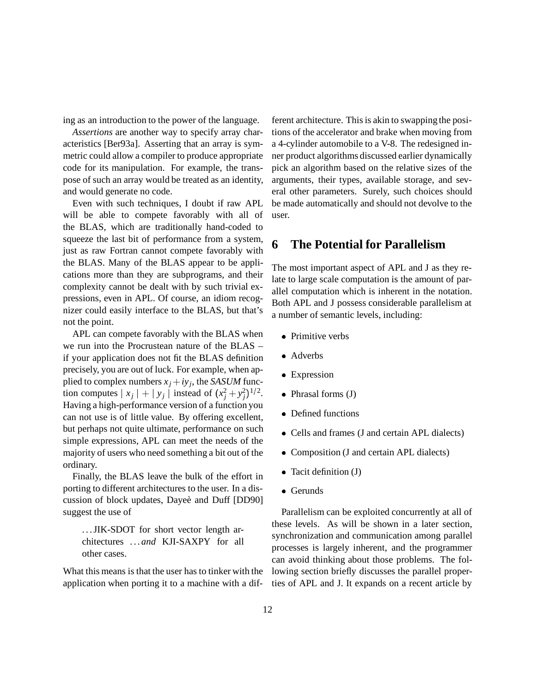ing as an introduction to the power of the language.

*Assertions* are another way to specify array characteristics [Ber93a]. Asserting that an array is symmetric could allow a compiler to produce appropriate code for its manipulation. For example, the transpose of such an array would be treated as an identity, and would generate no code.

Even with such techniques, I doubt if raw APL will be able to compete favorably with all of the BLAS, which are traditionally hand-coded to squeeze the last bit of performance from a system, just as raw Fortran cannot compete favorably with the BLAS. Many of the BLAS appear to be applications more than they are subprograms, and their complexity cannot be dealt with by such trivial expressions, even in APL. Of course, an idiom recognizer could easily interface to the BLAS, but that's not the point.

APL can compete favorably with the BLAS when we run into the Procrustean nature of the BLAS – if your application does not fit the BLAS definition precisely, you are out of luck. For example, when applied to complex numbers  $x_j + iy_j$ , the *SASUM* function computes  $|x_j| + |y_j|$  instead of  $(x_j^2 + y_j^2)^{1/2}$ . Having a high-performance version of a function you can not use is of little value. By offering excellent, but perhaps not quite ultimate, performance on such simple expressions, APL can meet the needs of the majority of users who need something a bit out of the ordinary.

Finally, the BLAS leave the bulk of the effort in porting to different architectures to the user. In a discussion of block updates, Dayeè and Duff [DD90] suggest the use of

... JIK-SDOT for short vector length architectures . . . *and* KJI-SAXPY for all other cases.

What this means is that the user has to tinker with the application when porting it to a machine with a different architecture. This is akin to swapping the positions of the accelerator and brake when moving from a 4-cylinder automobile to a V-8. The redesigned inner product algorithms discussed earlier dynamically pick an algorithm based on the relative sizes of the arguments, their types, available storage, and several other parameters. Surely, such choices should be made automatically and should not devolve to the user.

### **6 The Potential for Parallelism**

The most important aspect of APL and J as they relate to large scale computation is the amount of parallel computation which is inherent in the notation. Both APL and J possess considerable parallelism at a number of semantic levels, including:

- Primitive verbs
- Adverbs
- Expression
- Phrasal forms (J)
- Defined functions
- Cells and frames (J and certain APL dialects)
- Composition (J and certain APL dialects)
- Tacit definition (J)
- Gerunds

Parallelism can be exploited concurrently at all of these levels. As will be shown in a later section, synchronization and communication among parallel processes is largely inherent, and the programmer can avoid thinking about those problems. The following section briefly discusses the parallel properties of APL and J. It expands on a recent article by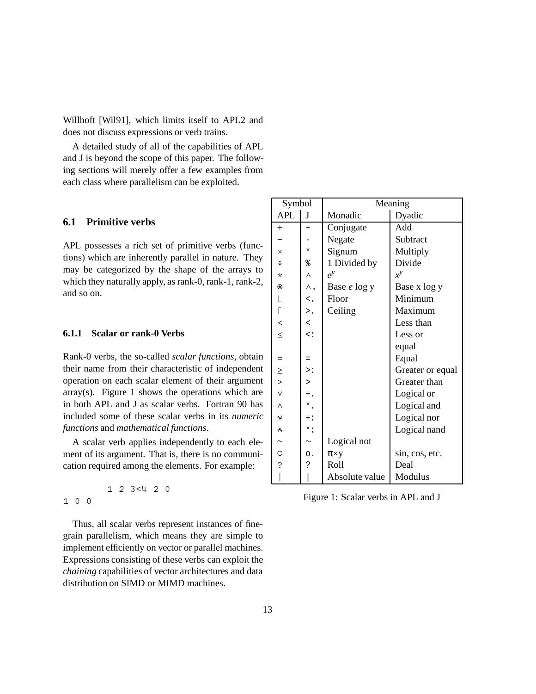Willhoft [Wil91], which limits itself to APL2 and does not discuss expressions or verb trains.

A detailed study of all of the capabilities of APL and J is beyond the scope of this paper. The following sections will merely offer a few examples from each class where parallelism can be exploited.

#### **6.1 Primitive verbs**

APL possesses a rich set of primitive verbs (functions) which are inherently parallel in nature. They may be categorized by the shape of the arrays to which they naturally apply, as rank-0, rank-1, rank-2, and so on.

#### **6.1.1 Scalar or rank-0 Verbs**

Rank-0 verbs, the so-called *scalar functions*, obtain their name from their characteristic of independent operation on each scalar element of their argument  $array(s)$ . Figure 1 shows the operations which are in both APL and J as scalar verbs. Fortran 90 has included some of these scalar verbs in its *numeric functions* and *mathematical functions*.

A scalar verb applies independently to each element of its argument. That is, there is no communication required among the elements. For example:

1 2 3<4 2 0 100

Thus, all scalar verbs represent instances of finegrain parallelism, which means they are simple to implement efficiently on vector or parallel machines. Expressions consisting of these verbs can exploit the *chaining* capabilities of vector architectures and data distribution on SIMD or MIMD machines.

| Symbol        |                                   | Meaning        |                  |  |
|---------------|-----------------------------------|----------------|------------------|--|
| <b>APL</b>    | J                                 | Monadic        | Dyadic           |  |
| $+$           | $\overline{+}$                    | Conjugate      | Add              |  |
|               |                                   | Negate         | Subtract         |  |
| $\times$      | $\star$                           | Signum         | Multiply         |  |
| ÷             | ⊱                                 | 1 Divided by   | Divide           |  |
| $\star$       | Λ                                 | $e^y$          | $x^y$            |  |
| ⊛             | Λ.                                | Base e log y   | Base x log y     |  |
| L             | $\lt$ .                           | Floor          | Minimum          |  |
| Г             | >.                                | Ceiling        | Maximum          |  |
| $\,<\,$       | $\,<\,$                           |                | Less than        |  |
| $\leq$        | $\overline{\left( \cdot \right)}$ |                | Less or          |  |
|               |                                   |                | equal            |  |
| $=$           | $=$                               |                | Equal            |  |
| $\geq$        | $\mathbf{p}$ :                    |                | Greater or equal |  |
| $\rightarrow$ | $\geq$                            |                | Greater than     |  |
| $\vee$        | $^+$ .                            |                | Logical or       |  |
| $\wedge$      | $\star$ .                         |                | Logical and      |  |
| ₩             | $+$ :                             |                | Logical nor      |  |
| ∧             | $\star$ :                         |                | Logical nand     |  |
|               | $\sim$                            | Logical not    |                  |  |
| $\Omega$      | $\circ$ .                         | $\pi \times y$ | sin, cos, etc.   |  |
| 5             | د.                                | Roll           | Deal             |  |
|               |                                   | Absolute value | Modulus          |  |

Figure 1: Scalar verbs in APL and J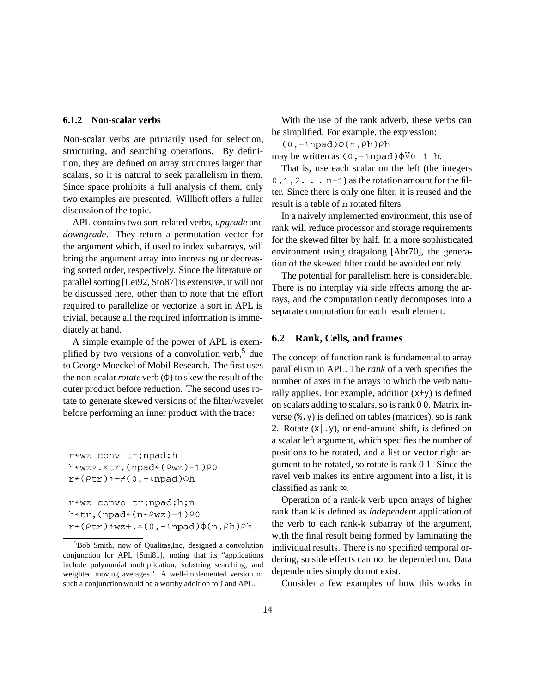#### **6.1.2 Non-scalar verbs**

Non-scalar verbs are primarily used for selection, structuring, and searching operations. By definition, they are defined on array structures larger than scalars, so it is natural to seek parallelism in them. Since space prohibits a full analysis of them, only two examples are presented. Willhoft offers a fuller discussion of the topic.

APL contains two sort-related verbs, *upgrade* and *downgrade*. They return a permutation vector for the argument which, if used to index subarrays, will bring the argument array into increasing or decreasing sorted order, respectively. Since the literature on parallel sorting [Lei92, Sto87] is extensive, it will not be discussed here, other than to note that the effort required to parallelize or vectorize a sort in APL is trivial, because all the required information is immediately at hand.

A simple example of the power of APL is exemplified by two versions of a convolution verb,  $5$  due to George Moeckel of Mobil Research. The first uses the non-scalar *rotate* verb  $(\phi)$  to skew the result of the outer product before reduction. The second uses rotate to generate skewed versions of the filter/wavelet before performing an inner product with the trace:

```
r←wz conv tr;npad;h
h -wz \circ . \times tr, (npad (\rho wz) - 1) \rho 0r \leftarrow (\rho t r) \uparrow + \neq (0, - \text{lnpad}) \upphi hr<wz convo tr;npad;h;n
h←tr,(npad←(n←\rhowz)-1)\rho0
r*(\rho tr)*wz+:*(0,-npad)\phi(n,\rho h)\rho h
```
With the use of the rank adverb, these verbs can be simplified. For example, the expression:

 $(0,-$ lnpad) $\phi(n,\rho h)\rho h$ 

may be written as  $(0, -1$ npad) $\phi^{\bullet}$ <sup>o</sup> 1 h.

That is, use each scalar on the left (the integers  $0, 1, 2$ . . .  $n-1$  as the rotation amount for the filter. Since there is only one filter, it is reused and the result is a table of n rotated filters.

In a naively implemented environment, this use of rank will reduce processor and storage requirements for the skewed filter by half. In a more sophisticated environment using dragalong [Abr70], the generation of the skewed filter could be avoided entirely.

The potential for parallelism here is considerable. There is no interplay via side effects among the arrays, and the computation neatly decomposes into a separate computation for each result element.

#### **6.2 Rank, Cells, and frames**

The concept of function rank is fundamental to array parallelism in APL. The *rank* of a verb specifies the number of axes in the arrays to which the verb naturally applies. For example, addition  $(x+y)$  is defined on scalars adding to scalars, so is rank 0 0. Matrix inverse (%.y) is defined on tables (matrices), so is rank 2. Rotate  $(x \mid y)$ , or end-around shift, is defined on a scalar left argument, which specifies the number of positions to be rotated, and a list or vector right argument to be rotated, so rotate is rank 0 1. Since the ravel verb makes its entire argument into a list, it is classified as rank ∞.

Operation of a rank-k verb upon arrays of higher rank than k is defined as *independent* application of the verb to each rank-k subarray of the argument, with the final result being formed by laminating the individual results. There is no specified temporal ordering, so side effects can not be depended on. Data dependencies simply do not exist.

Consider a few examples of how this works in

<sup>5</sup>Bob Smith, now of Qualitas,Inc, designed a convolution conjunction for APL [Smi81], noting that its "applications include polynomial multiplication, substring searching, and weighted moving averages." A well-implemented version of such a conjunction would be a worthy addition to J and APL.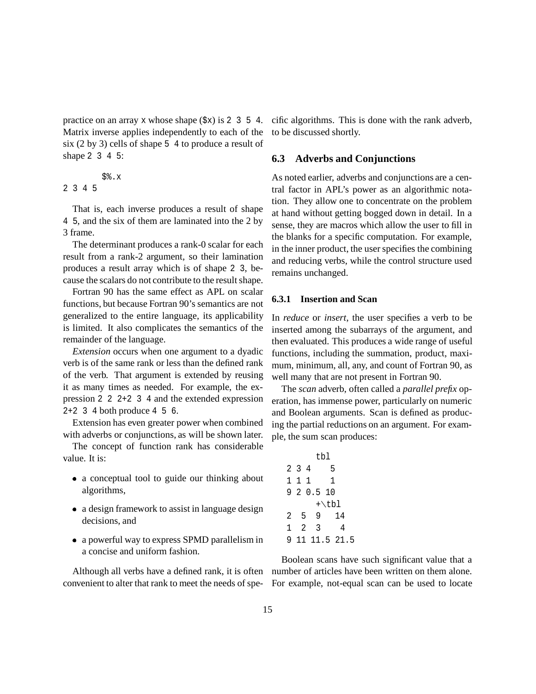practice on an array x whose shape  $(\frac{5x}{x})$  is 2 3 5 4. Matrix inverse applies independently to each of the six (2 by 3) cells of shape 5 4 to produce a result of shape 2 3 4 5:

$$
\begin{array}{c}\n\text{S}\text{?}\\
2 \quad 3 \quad 4 \quad 5\n\end{array}
$$

 $\mathbf{x}$ 

That is, each inverse produces a result of shape 4 5, and the six of them are laminated into the 2 by 3 frame.

The determinant produces a rank-0 scalar for each result from a rank-2 argument, so their lamination produces a result array which is of shape 2 3, because the scalars do not contribute to the result shape.

Fortran 90 has the same effect as APL on scalar functions, but because Fortran 90's semantics are not generalized to the entire language, its applicability is limited. It also complicates the semantics of the remainder of the language.

*Extension* occurs when one argument to a dyadic verb is of the same rank or less than the defined rank of the verb. That argument is extended by reusing it as many times as needed. For example, the expression 2 2 2+2 3 4 and the extended expression  $2+2$  3 4 both produce 4 5 6.

Extension has even greater power when combined with adverbs or conjunctions, as will be shown later.

The concept of function rank has considerable value. It is:

- a conceptual tool to guide our thinking about algorithms,
- a design framework to assist in language design decisions, and
- a powerful way to express SPMD parallelism in a concise and uniform fashion.

Although all verbs have a defined rank, it is often convenient to alter that rank to meet the needs of specific algorithms. This is done with the rank adverb, to be discussed shortly.

#### **6.3 Adverbs and Conjunctions**

As noted earlier, adverbs and conjunctions are a central factor in APL's power as an algorithmic notation. They allow one to concentrate on the problem at hand without getting bogged down in detail. In a sense, they are macros which allow the user to fill in the blanks for a specific computation. For example, in the inner product, the user specifies the combining and reducing verbs, while the control structure used remains unchanged.

### **6.3.1 Insertion and Scan**

In *reduce* or *insert*, the user specifies a verb to be inserted among the subarrays of the argument, and then evaluated. This produces a wide range of useful functions, including the summation, product, maximum, minimum, all, any, and count of Fortran 90, as well many that are not present in Fortran 90.

The *scan* adverb, often called a *parallel prefix* operation, has immense power, particularly on numeric and Boolean arguments. Scan is defined as producing the partial reductions on an argument. For example, the sum scan produces:

|              |                |                | tbl     |       |              |  |
|--------------|----------------|----------------|---------|-------|--------------|--|
|              | 2 <sub>3</sub> | 4              |         | 5     |              |  |
| $\mathbf{1}$ | 1              | $\overline{1}$ |         | 1     |              |  |
|              |                |                | 920.510 |       |              |  |
|              |                |                |         | +\tbl |              |  |
| 2            |                | 5              | 9       |       | 14           |  |
| 1            | 2              |                | 3       |       | 4            |  |
| 9            |                |                |         |       | 11 11.5 21.5 |  |

Boolean scans have such significant value that a number of articles have been written on them alone. For example, not-equal scan can be used to locate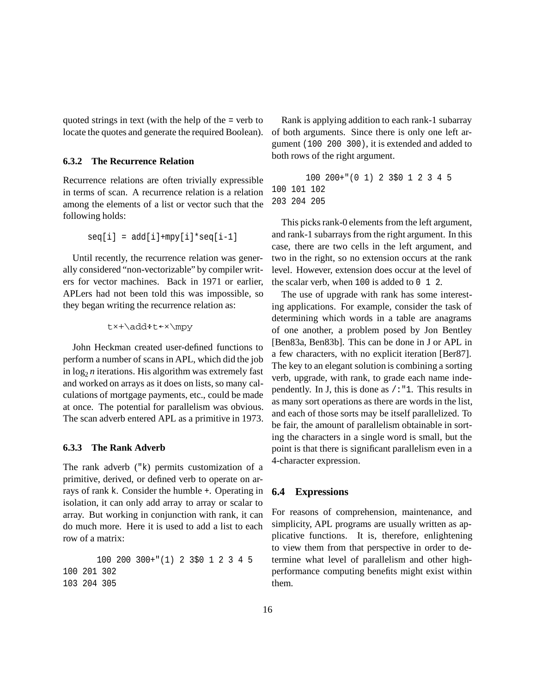quoted strings in text (with the help of the = verb to locate the quotes and generate the required Boolean).

#### **6.3.2 The Recurrence Relation**

Recurrence relations are often trivially expressible in terms of scan. A recurrence relation is a relation among the elements of a list or vector such that the following holds:

$$
seq[i] = add[i] + mpy[i]*seq[i-1]
$$

Until recently, the recurrence relation was generally considered "non-vectorizable" by compiler writers for vector machines. Back in 1971 or earlier, APLers had not been told this was impossible, so they began writing the recurrence relation as:

t«+\addßtû«\mpy

John Heckman created user-defined functions to perform a number of scans in APL, which did the job in  $log_2 n$  iterations. His algorithm was extremely fast and worked on arrays as it does on lists, so many calculations of mortgage payments, etc., could be made at once. The potential for parallelism was obvious. The scan adverb entered APL as a primitive in 1973.

#### **6.3.3 The Rank Adverb**

The rank adverb ("k) permits customization of a primitive, derived, or defined verb to operate on arrays of rank k. Consider the humble +. Operating in isolation, it can only add array to array or scalar to array. But working in conjunction with rank, it can do much more. Here it is used to add a list to each row of a matrix:

100 200 300+"(1) 2 3\$0 1 2 3 4 5 100 201 302 103 204 305

Rank is applying addition to each rank-1 subarray of both arguments. Since there is only one left argument (100 200 300), it is extended and added to both rows of the right argument.

```
100 200+"(0 1) 2 3$0 1 2 3 4 5
100 101 102
203 204 205
```
This picks rank-0 elements from the left argument, and rank-1 subarrays from the right argument. In this case, there are two cells in the left argument, and two in the right, so no extension occurs at the rank level. However, extension does occur at the level of the scalar verb, when  $100$  is added to  $0\quad 1\quad 2$ .

The use of upgrade with rank has some interesting applications. For example, consider the task of determining which words in a table are anagrams of one another, a problem posed by Jon Bentley [Ben83a, Ben83b]. This can be done in J or APL in a few characters, with no explicit iteration [Ber87]. The key to an elegant solution is combining a sorting verb, upgrade, with rank, to grade each name independently. In J, this is done as  $/$ : "1. This results in as many sort operations as there are words in the list, and each of those sorts may be itself parallelized. To be fair, the amount of parallelism obtainable in sorting the characters in a single word is small, but the point is that there is significant parallelism even in a 4-character expression.

#### **6.4 Expressions**

For reasons of comprehension, maintenance, and simplicity, APL programs are usually written as applicative functions. It is, therefore, enlightening to view them from that perspective in order to determine what level of parallelism and other highperformance computing benefits might exist within them.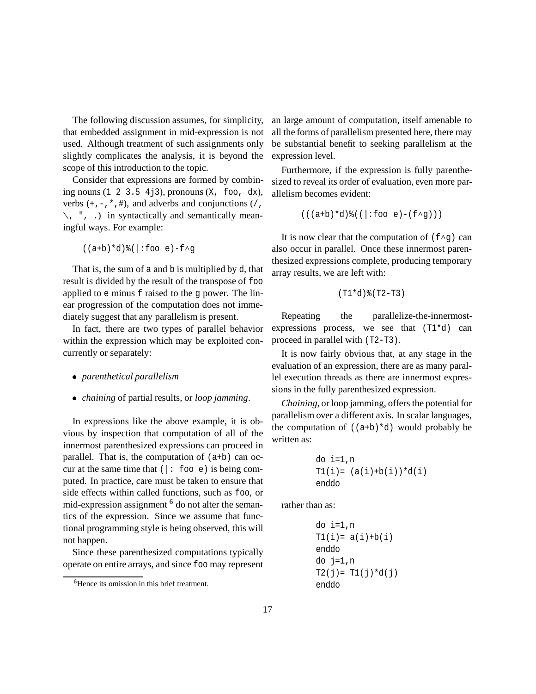The following discussion assumes, for simplicity, that embedded assignment in mid-expression is not used. Although treatment of such assignments only slightly complicates the analysis, it is beyond the scope of this introduction to the topic.

Consider that expressions are formed by combining nouns  $(1 \t2 \t3.5 \t4j3)$ , pronouns  $(X, \t6o, dx)$ , verbs  $(+,-,*,*)$ , and adverbs and conjunctions  $($  ,  $\langle , " , . \rangle$  in syntactically and semantically meaningful ways. For example:

$$
((a+b)*d)*(|:foo e)-f\land g
$$

That is, the sum of a and b is multiplied by d, that result is divided by the result of the transpose of foo applied to e minus f raised to the g power. The linear progression of the computation does not immediately suggest that any parallelism is present.

In fact, there are two types of parallel behavior within the expression which may be exploited concurrently or separately:

- *parenthetical parallelism*
- *chaining* of partial results, or *loop jamming*.

In expressions like the above example, it is obvious by inspection that computation of all of the innermost parenthesized expressions can proceed in parallel. That is, the computation of (a+b) can occur at the same time that  $(|:$  foo e) is being computed. In practice, care must be taken to ensure that side effects within called functions, such as foo, or mid-expression assignment <sup>6</sup> do not alter the semantics of the expression. Since we assume that functional programming style is being observed, this will not happen.

Since these parenthesized computations typically operate on entire arrays, and since foo may represent an large amount of computation, itself amenable to all the forms of parallelism presented here, there may be substantial benefit to seeking parallelism at the expression level.

Furthermore, if the expression is fully parenthesized to reveal its order of evaluation, even more parallelism becomes evident:

 $((a+b)*d){((b+c) * d) * ((b+c) * d) * (d+c) * d) * (e+c) * (f \wedge g))$ 

It is now clear that the computation of  $(f \wedge g)$  can also occur in parallel. Once these innermost parenthesized expressions complete, producing temporary array results, we are left with:

$$
(T1*d)* (T2-T3)
$$

Repeating the parallelize-the-innermostexpressions process, we see that (T1\*d) can proceed in parallel with (T2-T3).

It is now fairly obvious that, at any stage in the evaluation of an expression, there are as many parallel execution threads as there are innermost expressions in the fully parenthesized expression.

*Chaining*, or loop jamming, offers the potential for parallelism over a different axis. In scalar languages, the computation of  $((a+b)*d)$  would probably be written as:

do i=1,n T1(i)= (a(i)+b(i))\*d(i) enddo

rather than as:

```
do i=1,n
T1(i) = a(i) + b(i)enddo
do j=1,n
T2(j) = T1(j)*d(j)enddo
```
<sup>&</sup>lt;sup>6</sup>Hence its omission in this brief treatment.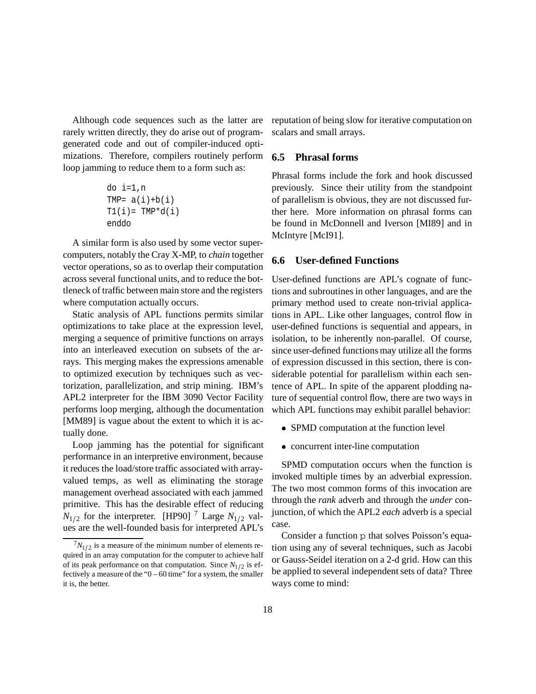Although code sequences such as the latter are rarely written directly, they do arise out of programgenerated code and out of compiler-induced optimizations. Therefore, compilers routinely perform loop jamming to reduce them to a form such as:

```
do i=1,n
TMP= a(i)+b(i)T1(i) = TMP *d(i)enddo
```
A similar form is also used by some vector supercomputers, notably the Cray X-MP, to *chain* together vector operations, so as to overlap their computation across several functional units, and to reduce the bottleneck of traffic between main store and the registers where computation actually occurs.

Static analysis of APL functions permits similar optimizations to take place at the expression level, merging a sequence of primitive functions on arrays into an interleaved execution on subsets of the arrays. This merging makes the expressions amenable to optimized execution by techniques such as vectorization, parallelization, and strip mining. IBM's APL2 interpreter for the IBM 3090 Vector Facility performs loop merging, although the documentation [MM89] is vague about the extent to which it is actually done.

Loop jamming has the potential for significant performance in an interpretive environment, because it reduces the load/store traffic associated with arrayvalued temps, as well as eliminating the storage management overhead associated with each jammed primitive. This has the desirable effect of reducing  $N_{1/2}$  for the interpreter. [HP90] <sup>7</sup> Large  $N_{1/2}$  values are the well-founded basis for interpreted APL's

reputation of being slow for iterative computation on scalars and small arrays.

#### **6.5 Phrasal forms**

Phrasal forms include the fork and hook discussed previously. Since their utility from the standpoint of parallelism is obvious, they are not discussed further here. More information on phrasal forms can be found in McDonnell and Iverson [MI89] and in McIntyre [McI91].

#### **6.6 User-defined Functions**

User-defined functions are APL's cognate of functions and subroutines in other languages, and are the primary method used to create non-trivial applications in APL. Like other languages, control flow in user-defined functions is sequential and appears, in isolation, to be inherently non-parallel. Of course, since user-defined functions may utilize all the forms of expression discussed in this section, there is considerable potential for parallelism within each sentence of APL. In spite of the apparent plodding nature of sequential control flow, there are two ways in which APL functions may exhibit parallel behavior:

- SPMD computation at the function level
- concurrent inter-line computation

SPMD computation occurs when the function is invoked multiple times by an adverbial expression. The two most common forms of this invocation are through the *rank* adverb and through the *under* conjunction, of which the APL2 *each* adverb is a special case.

Consider a function p that solves Poisson's equation using any of several techniques, such as Jacobi or Gauss-Seidel iteration on a 2-d grid. How can this be applied to several independent sets of data? Three ways come to mind:

 $7N_{1/2}$  is a measure of the minimum number of elements required in an array computation for the computer to achieve half of its peak performance on that computation. Since  $N_{1/2}$  is effectively a measure of the " $0 - 60$  time" for a system, the smaller it is, the better.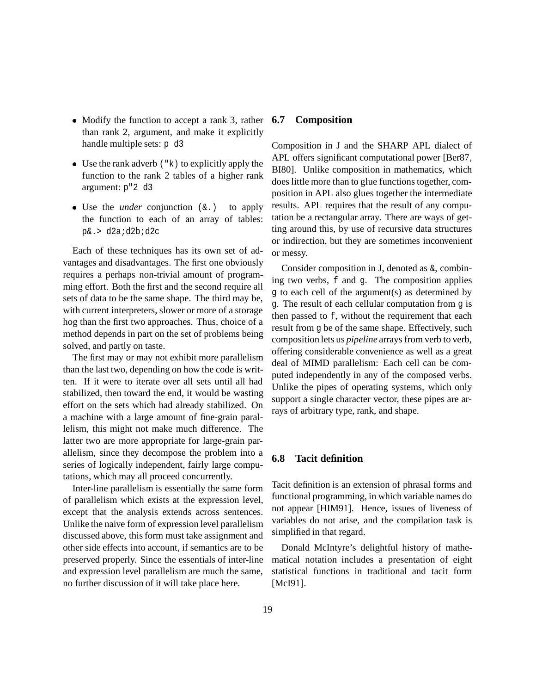- Modify the function to accept a rank 3, rather than rank 2, argument, and make it explicitly handle multiple sets: p d3
- $\bullet$  Use the rank adverb  $(\nabla \times)$  to explicitly apply the function to the rank 2 tables of a higher rank argument: p"2 d3
- Use the *under* conjunction (&.) to apply the function to each of an array of tables: p&.> d2a;d2b;d2c

Each of these techniques has its own set of advantages and disadvantages. The first one obviously requires a perhaps non-trivial amount of programming effort. Both the first and the second require all sets of data to be the same shape. The third may be, with current interpreters, slower or more of a storage hog than the first two approaches. Thus, choice of a method depends in part on the set of problems being solved, and partly on taste.

The first may or may not exhibit more parallelism than the last two, depending on how the code is written. If it were to iterate over all sets until all had stabilized, then toward the end, it would be wasting effort on the sets which had already stabilized. On a machine with a large amount of fine-grain parallelism, this might not make much difference. The latter two are more appropriate for large-grain parallelism, since they decompose the problem into a series of logically independent, fairly large computations, which may all proceed concurrently.

Inter-line parallelism is essentially the same form of parallelism which exists at the expression level, except that the analysis extends across sentences. Unlike the naive form of expression level parallelism discussed above, this form must take assignment and other side effects into account, if semantics are to be preserved properly. Since the essentials of inter-line and expression level parallelism are much the same, no further discussion of it will take place here.

#### **6.7 Composition**

Composition in J and the SHARP APL dialect of APL offers significant computational power [Ber87, BI80]. Unlike composition in mathematics, which does little more than to glue functions together, composition in APL also glues together the intermediate results. APL requires that the result of any computation be a rectangular array. There are ways of getting around this, by use of recursive data structures or indirection, but they are sometimes inconvenient or messy.

Consider composition in J, denoted as &, combining two verbs, f and g. The composition applies g to each cell of the argument(s) as determined by g. The result of each cellular computation from g is then passed to f, without the requirement that each result from g be of the same shape. Effectively, such composition lets us *pipeline* arrays from verb to verb, offering considerable convenience as well as a great deal of MIMD parallelism: Each cell can be computed independently in any of the composed verbs. Unlike the pipes of operating systems, which only support a single character vector, these pipes are arrays of arbitrary type, rank, and shape.

### **6.8 Tacit definition**

Tacit definition is an extension of phrasal forms and functional programming, in which variable names do not appear [HIM91]. Hence, issues of liveness of variables do not arise, and the compilation task is simplified in that regard.

Donald McIntyre's delightful history of mathematical notation includes a presentation of eight statistical functions in traditional and tacit form [McI91].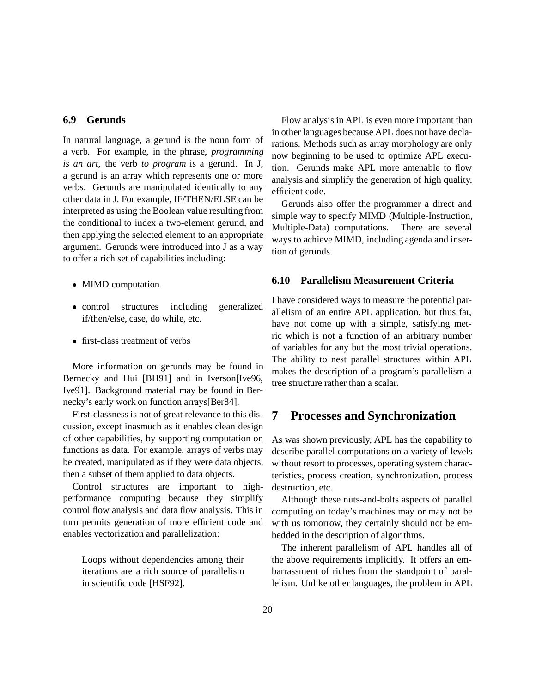#### **6.9 Gerunds**

In natural language, a gerund is the noun form of a verb. For example, in the phrase, *programming is an art*, the verb *to program* is a gerund. In J, a gerund is an array which represents one or more verbs. Gerunds are manipulated identically to any other data in J. For example, IF/THEN/ELSE can be interpreted as using the Boolean value resulting from the conditional to index a two-element gerund, and then applying the selected element to an appropriate argument. Gerunds were introduced into J as a way to offer a rich set of capabilities including:

- MIMD computation
- control structures including generalized if/then/else, case, do while, etc.
- first-class treatment of verbs

More information on gerunds may be found in Bernecky and Hui [BH91] and in Iverson[Ive96, Ive91]. Background material may be found in Bernecky's early work on function arrays[Ber84].

First-classness is not of great relevance to this discussion, except inasmuch as it enables clean design of other capabilities, by supporting computation on functions as data. For example, arrays of verbs may be created, manipulated as if they were data objects, then a subset of them applied to data objects.

Control structures are important to highperformance computing because they simplify control flow analysis and data flow analysis. This in turn permits generation of more efficient code and enables vectorization and parallelization:

Loops without dependencies among their iterations are a rich source of parallelism in scientific code [HSF92].

Flow analysis in APL is even more important than in other languages because APL does not have declarations. Methods such as array morphology are only now beginning to be used to optimize APL execution. Gerunds make APL more amenable to flow analysis and simplify the generation of high quality, efficient code.

Gerunds also offer the programmer a direct and simple way to specify MIMD (Multiple-Instruction, Multiple-Data) computations. There are several ways to achieve MIMD, including agenda and insertion of gerunds.

#### **6.10 Parallelism Measurement Criteria**

I have considered ways to measure the potential parallelism of an entire APL application, but thus far, have not come up with a simple, satisfying metric which is not a function of an arbitrary number of variables for any but the most trivial operations. The ability to nest parallel structures within APL makes the description of a program's parallelism a tree structure rather than a scalar.

### **7 Processes and Synchronization**

As was shown previously, APL has the capability to describe parallel computations on a variety of levels without resort to processes, operating system characteristics, process creation, synchronization, process destruction, etc.

Although these nuts-and-bolts aspects of parallel computing on today's machines may or may not be with us tomorrow, they certainly should not be embedded in the description of algorithms.

The inherent parallelism of APL handles all of the above requirements implicitly. It offers an embarrassment of riches from the standpoint of parallelism. Unlike other languages, the problem in APL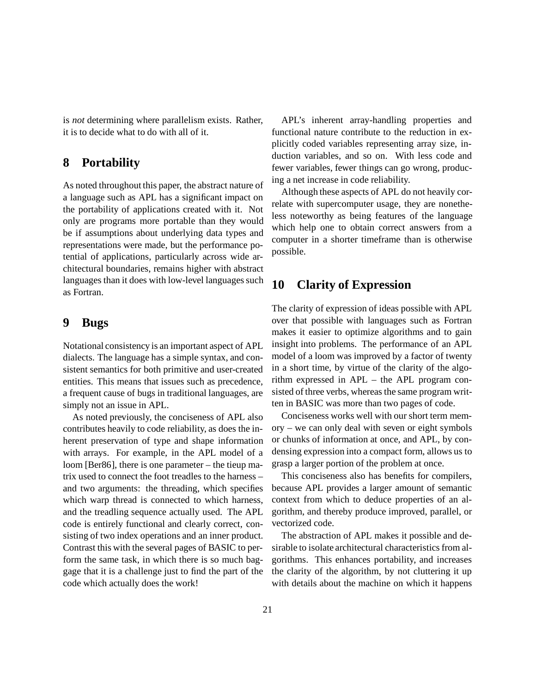is *not* determining where parallelism exists. Rather, it is to decide what to do with all of it.

# **8 Portability**

As noted throughout this paper, the abstract nature of a language such as APL has a significant impact on the portability of applications created with it. Not only are programs more portable than they would be if assumptions about underlying data types and representations were made, but the performance potential of applications, particularly across wide architectural boundaries, remains higher with abstract languages than it does with low-level languages such as Fortran.

### **9 Bugs**

Notational consistency is an important aspect of APL dialects. The language has a simple syntax, and consistent semantics for both primitive and user-created entities. This means that issues such as precedence, a frequent cause of bugs in traditional languages, are simply not an issue in APL.

As noted previously, the conciseness of APL also contributes heavily to code reliability, as does the inherent preservation of type and shape information with arrays. For example, in the APL model of a loom [Ber86], there is one parameter – the tieup matrix used to connect the foot treadles to the harness – and two arguments: the threading, which specifies which warp thread is connected to which harness, and the treadling sequence actually used. The APL code is entirely functional and clearly correct, consisting of two index operations and an inner product. Contrast this with the several pages of BASIC to perform the same task, in which there is so much baggage that it is a challenge just to find the part of the code which actually does the work!

APL's inherent array-handling properties and functional nature contribute to the reduction in explicitly coded variables representing array size, induction variables, and so on. With less code and fewer variables, fewer things can go wrong, producing a net increase in code reliability.

Although these aspects of APL do not heavily correlate with supercomputer usage, they are nonetheless noteworthy as being features of the language which help one to obtain correct answers from a computer in a shorter timeframe than is otherwise possible.

### **10 Clarity of Expression**

The clarity of expression of ideas possible with APL over that possible with languages such as Fortran makes it easier to optimize algorithms and to gain insight into problems. The performance of an APL model of a loom was improved by a factor of twenty in a short time, by virtue of the clarity of the algorithm expressed in APL – the APL program consisted of three verbs, whereas the same program written in BASIC was more than two pages of code.

Conciseness works well with our short term memory – we can only deal with seven or eight symbols or chunks of information at once, and APL, by condensing expression into a compact form, allows us to grasp a larger portion of the problem at once.

This conciseness also has benefits for compilers, because APL provides a larger amount of semantic context from which to deduce properties of an algorithm, and thereby produce improved, parallel, or vectorized code.

The abstraction of APL makes it possible and desirable to isolate architectural characteristics from algorithms. This enhances portability, and increases the clarity of the algorithm, by not cluttering it up with details about the machine on which it happens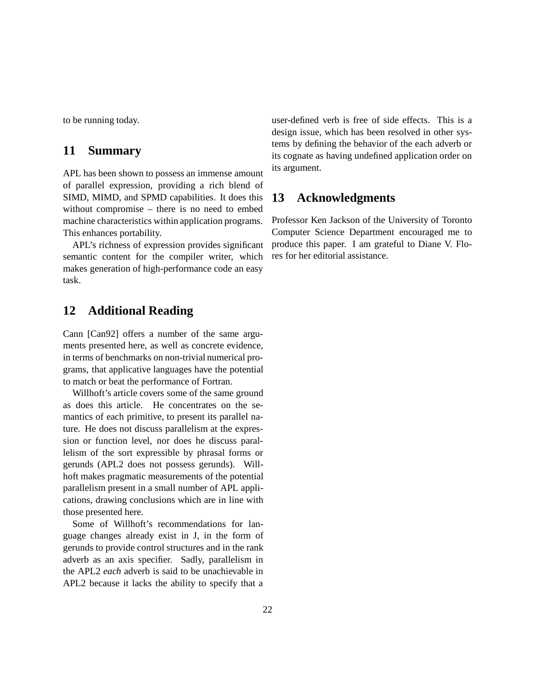to be running today.

### **11 Summary**

APL has been shown to possess an immense amount of parallel expression, providing a rich blend of SIMD, MIMD, and SPMD capabilities. It does this without compromise – there is no need to embed machine characteristics within application programs. This enhances portability.

APL's richness of expression provides significant semantic content for the compiler writer, which makes generation of high-performance code an easy task.

### **12 Additional Reading**

Cann [Can92] offers a number of the same arguments presented here, as well as concrete evidence, in terms of benchmarks on non-trivial numerical programs, that applicative languages have the potential to match or beat the performance of Fortran.

Willhoft's article covers some of the same ground as does this article. He concentrates on the semantics of each primitive, to present its parallel nature. He does not discuss parallelism at the expression or function level, nor does he discuss parallelism of the sort expressible by phrasal forms or gerunds (APL2 does not possess gerunds). Willhoft makes pragmatic measurements of the potential parallelism present in a small number of APL applications, drawing conclusions which are in line with those presented here.

Some of Willhoft's recommendations for language changes already exist in J, in the form of gerunds to provide control structures and in the rank adverb as an axis specifier. Sadly, parallelism in the APL2 *each* adverb is said to be unachievable in APL2 because it lacks the ability to specify that a

user-defined verb is free of side effects. This is a design issue, which has been resolved in other systems by defining the behavior of the each adverb or its cognate as having undefined application order on its argument.

### **13 Acknowledgments**

Professor Ken Jackson of the University of Toronto Computer Science Department encouraged me to produce this paper. I am grateful to Diane V. Flores for her editorial assistance.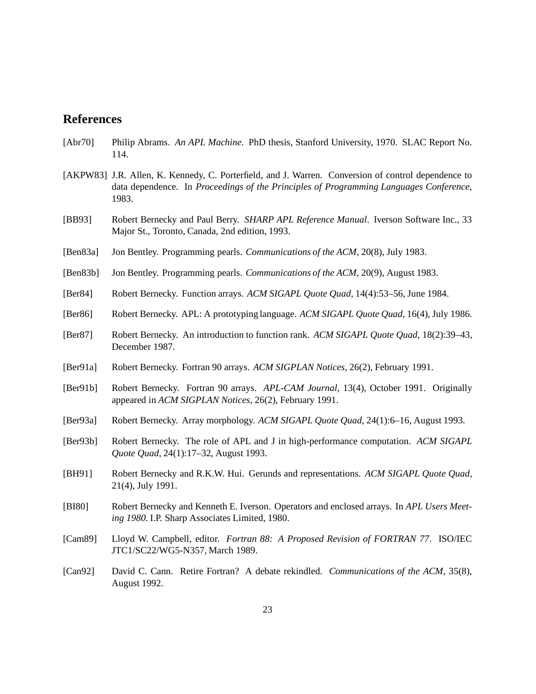### **References**

- [Abr70] Philip Abrams. *An APL Machine*. PhD thesis, Stanford University, 1970. SLAC Report No. 114.
- [AKPW83] J.R. Allen, K. Kennedy, C. Porterfield, and J. Warren. Conversion of control dependence to data dependence. In *Proceedings of the Principles of Programming Languages Conference*, 1983.
- [BB93] Robert Bernecky and Paul Berry. *SHARP APL Reference Manual*. Iverson Software Inc., 33 Major St., Toronto, Canada, 2nd edition, 1993.
- [Ben83a] Jon Bentley. Programming pearls. *Communications of the ACM*, 20(8), July 1983.
- [Ben83b] Jon Bentley. Programming pearls. *Communications of the ACM*, 20(9), August 1983.
- [Ber84] Robert Bernecky. Function arrays. *ACM SIGAPL Quote Quad*, 14(4):53–56, June 1984.
- [Ber86] Robert Bernecky. APL: A prototyping language. *ACM SIGAPL Quote Quad*, 16(4), July 1986.
- [Ber87] Robert Bernecky. An introduction to function rank. *ACM SIGAPL Quote Quad*, 18(2):39–43, December 1987.
- [Ber91a] Robert Bernecky. Fortran 90 arrays. *ACM SIGPLAN Notices*, 26(2), February 1991.
- [Ber91b] Robert Bernecky. Fortran 90 arrays. *APL-CAM Journal*, 13(4), October 1991. Originally appeared in *ACM SIGPLAN Notices*, 26(2), February 1991.
- [Ber93a] Robert Bernecky. Array morphology. *ACM SIGAPL Quote Quad*, 24(1):6–16, August 1993.
- [Ber93b] Robert Bernecky. The role of APL and J in high-performance computation. *ACM SIGAPL Quote Quad*, 24(1):17–32, August 1993.
- [BH91] Robert Bernecky and R.K.W. Hui. Gerunds and representations. *ACM SIGAPL Quote Quad*, 21(4), July 1991.
- [BI80] Robert Bernecky and Kenneth E. Iverson. Operators and enclosed arrays. In *APL Users Meeting 1980*. I.P. Sharp Associates Limited, 1980.
- [Cam89] Lloyd W. Campbell, editor. *Fortran 88: A Proposed Revision of FORTRAN 77*. ISO/IEC JTC1/SC22/WG5-N357, March 1989.
- [Can92] David C. Cann. Retire Fortran? A debate rekindled. *Communications of the ACM*, 35(8), August 1992.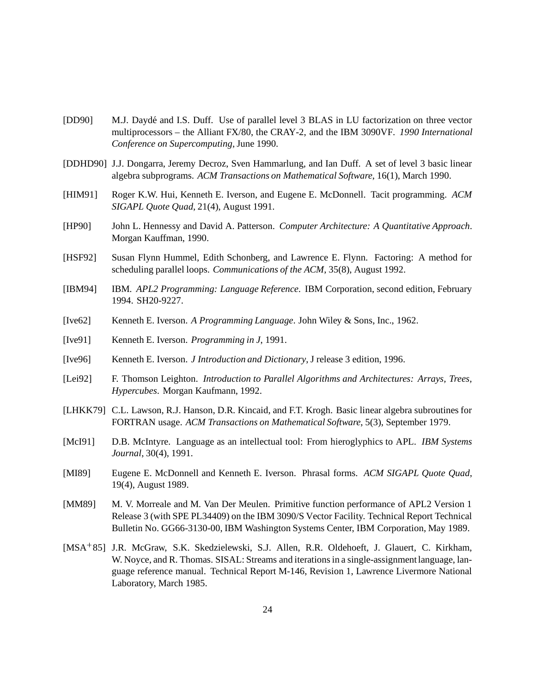- [DD90] M.J. Daydé and I.S. Duff. Use of parallel level 3 BLAS in LU factorization on three vector multiprocessors – the Alliant FX/80, the CRAY-2, and the IBM 3090VF. *1990 International Conference on Supercomputing*, June 1990.
- [DDHD90] J.J. Dongarra, Jeremy Decroz, Sven Hammarlung, and Ian Duff. A set of level 3 basic linear algebra subprograms. *ACM Transactions on Mathematical Software*, 16(1), March 1990.
- [HIM91] Roger K.W. Hui, Kenneth E. Iverson, and Eugene E. McDonnell. Tacit programming. *ACM SIGAPL Quote Quad*, 21(4), August 1991.
- [HP90] John L. Hennessy and David A. Patterson. *Computer Architecture: A Quantitative Approach*. Morgan Kauffman, 1990.
- [HSF92] Susan Flynn Hummel, Edith Schonberg, and Lawrence E. Flynn. Factoring: A method for scheduling parallel loops. *Communications of the ACM*, 35(8), August 1992.
- [IBM94] IBM. *APL2 Programming: Language Reference*. IBM Corporation, second edition, February 1994. SH20-9227.
- [Ive62] Kenneth E. Iverson. *A Programming Language*. John Wiley & Sons, Inc., 1962.
- [Ive91] Kenneth E. Iverson. *Programming in J*, 1991.
- [Ive96] Kenneth E. Iverson. *J Introduction and Dictionary*, J release 3 edition, 1996.
- [Lei92] F. Thomson Leighton. *Introduction to Parallel Algorithms and Architectures: Arrays, Trees, Hypercubes*. Morgan Kaufmann, 1992.
- [LHKK79] C.L. Lawson, R.J. Hanson, D.R. Kincaid, and F.T. Krogh. Basic linear algebra subroutines for FORTRAN usage. *ACM Transactions on Mathematical Software*, 5(3), September 1979.
- [McI91] D.B. McIntyre. Language as an intellectual tool: From hieroglyphics to APL. *IBM Systems Journal*, 30(4), 1991.
- [MI89] Eugene E. McDonnell and Kenneth E. Iverson. Phrasal forms. *ACM SIGAPL Quote Quad*, 19(4), August 1989.
- [MM89] M. V. Morreale and M. Van Der Meulen. Primitive function performance of APL2 Version 1 Release 3 (with SPE PL34409) on the IBM 3090/S Vector Facility. Technical Report Technical Bulletin No. GG66-3130-00, IBM Washington Systems Center, IBM Corporation, May 1989.
- [MSA<sup>+</sup> 85] J.R. McGraw, S.K. Skedzielewski, S.J. Allen, R.R. Oldehoeft, J. Glauert, C. Kirkham, W. Noyce, and R. Thomas. SISAL: Streams and iterations in a single-assignment language, language reference manual. Technical Report M-146, Revision 1, Lawrence Livermore National Laboratory, March 1985.